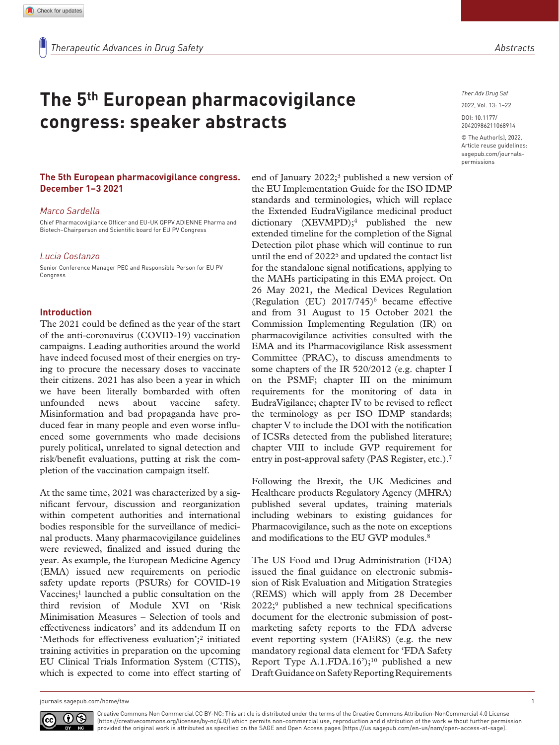# **The 5th European pharmacovigilance congress: speaker abstracts**

#### **The 5th European pharmacovigilance congress. December 1–3 2021**

#### *Marco Sardella*

Chief Pharmacovigilance Officer and EU-UK QPPV ADIENNE Pharma and Biotech–Chairperson and Scientific board for EU PV Congress

#### *Lucia Costanzo*

Senior Conference Manager PEC and Responsible Person for EU PV Congress

#### **Introduction**

The 2021 could be defined as the year of the start of the anti-coronavirus (COVID-19) vaccination campaigns. Leading authorities around the world have indeed focused most of their energies on trying to procure the necessary doses to vaccinate their citizens. 2021 has also been a year in which we have been literally bombarded with often unfounded news about vaccine safety. Misinformation and bad propaganda have produced fear in many people and even worse influenced some governments who made decisions purely political, unrelated to signal detection and risk/benefit evaluations, putting at risk the completion of the vaccination campaign itself.

At the same time, 2021 was characterized by a significant fervour, discussion and reorganization within competent authorities and international bodies responsible for the surveillance of medicinal products. Many pharmacovigilance guidelines were reviewed, finalized and issued during the year. As example, the European Medicine Agency (EMA) issued new requirements on periodic safety update reports (PSURs) for COVID-19 Vaccines;<sup>1</sup> launched a public consultation on the third revision of Module XVI on 'Risk Minimisation Measures – Selection of tools and effectiveness indicators' and its addendum II on 'Methods for effectiveness evaluation';<sup>2</sup> initiated training activities in preparation on the upcoming EU Clinical Trials Information System (CTIS), which is expected to come into effect starting of *Ther Adv Drug Saf*

DOI: 10.1177/ 2022, Vol. 13: 1–22

© The Author(s), 2022. Article reuse guidelines: sagepub.com/journalspermissions

20420986211068914

end of January 2022;<sup>3</sup> published a new version of the EU Implementation Guide for the ISO IDMP standards and terminologies, which will replace the Extended EudraVigilance medicinal product dictionary (XEVMPD);4 published the new extended timeline for the completion of the Signal Detection pilot phase which will continue to run until the end of 2022<sup>5</sup> and updated the contact list for the standalone signal notifications, applying to the MAHs participating in this EMA project. On 26 May 2021, the Medical Devices Regulation (Regulation (EU) 2017/745)<sup>6</sup> became effective and from 31 August to 15 October 2021 the Commission Implementing Regulation (IR) on pharmacovigilance activities consulted with the EMA and its Pharmacovigilance Risk assessment Committee (PRAC), to discuss amendments to some chapters of the IR 520/2012 (e.g. chapter I on the PSMF; chapter III on the minimum requirements for the monitoring of data in EudraVigilance; chapter IV to be revised to reflect the terminology as per ISO IDMP standards; chapter V to include the DOI with the notification of ICSRs detected from the published literature; chapter VIII to include GVP requirement for entry in post-approval safety (PAS Register, etc.).7

Following the Brexit, the UK Medicines and Healthcare products Regulatory Agency (MHRA) published several updates, training materials including webinars to existing guidances for Pharmacovigilance, such as the note on exceptions and modifications to the EU GVP modules.<sup>8</sup>

The US Food and Drug Administration (FDA) issued the final guidance on electronic submission of Risk Evaluation and Mitigation Strategies (REMS) which will apply from 28 December  $2022$ ;<sup>9</sup> published a new technical specifications document for the electronic submission of postmarketing safety reports to the FDA adverse event reporting system (FAERS) (e.g. the new mandatory regional data element for 'FDA Safety Report Type A.1.FDA.16');<sup>10</sup> published a new Draft Guidance on Safety Reporting Requirements

journals.sagepub.com/home/taw 1

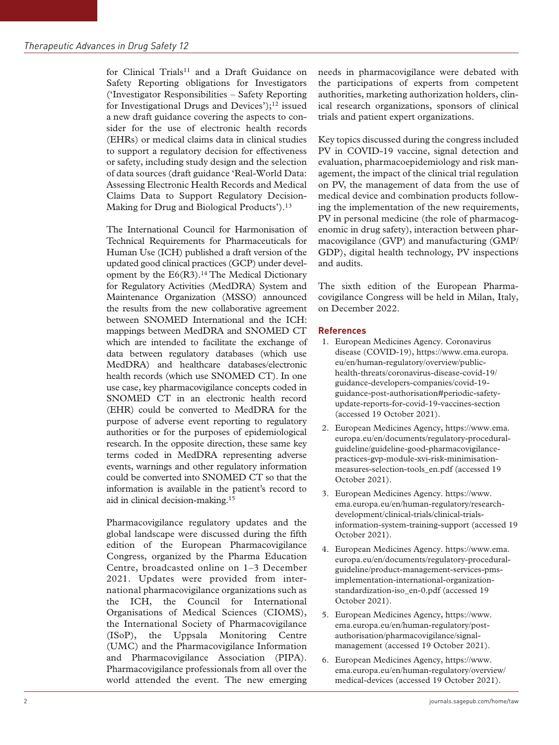for Clinical Trials<sup>11</sup> and a Draft Guidance on Safety Reporting obligations for Investigators ('Investigator Responsibilities – Safety Reporting for Investigational Drugs and Devices');<sup>12</sup> issued a new draft guidance covering the aspects to consider for the use of electronic health records (EHRs) or medical claims data in clinical studies to support a regulatory decision for effectiveness or safety, including study design and the selection of data sources (draft guidance 'Real-World Data: Assessing Electronic Health Records and Medical Claims Data to Support Regulatory Decision-Making for Drug and Biological Products').<sup>13</sup>

The International Council for Harmonisation of Technical Requirements for Pharmaceuticals for Human Use (ICH) published a draft version of the updated good clinical practices (GCP) under development by the E6(R3).14 The Medical Dictionary for Regulatory Activities (MedDRA) System and Maintenance Organization (MSSO) announced the results from the new collaborative agreement between SNOMED International and the ICH: mappings between MedDRA and SNOMED CT which are intended to facilitate the exchange of data between regulatory databases (which use MedDRA) and healthcare databases/electronic health records (which use SNOMED CT). In one use case, key pharmacovigilance concepts coded in SNOMED CT in an electronic health record (EHR) could be converted to MedDRA for the purpose of adverse event reporting to regulatory authorities or for the purposes of epidemiological research. In the opposite direction, these same key terms coded in MedDRA representing adverse events, warnings and other regulatory information could be converted into SNOMED CT so that the information is available in the patient's record to aid in clinical decision-making.15

Pharmacovigilance regulatory updates and the global landscape were discussed during the fifth edition of the European Pharmacovigilance Congress, organized by the Pharma Education Centre, broadcasted online on 1–3 December 2021. Updates were provided from international pharmacovigilance organizations such as the ICH, the Council for International Organisations of Medical Sciences (CIOMS), the International Society of Pharmacovigilance (ISoP), the Uppsala Monitoring Centre (UMC) and the Pharmacovigilance Information and Pharmacovigilance Association (PIPA). Pharmacovigilance professionals from all over the world attended the event. The new emerging needs in pharmacovigilance were debated with the participations of experts from competent authorities, marketing authorization holders, clinical research organizations, sponsors of clinical trials and patient expert organizations.

Key topics discussed during the congress included PV in COVID-19 vaccine, signal detection and evaluation, pharmacoepidemiology and risk management, the impact of the clinical trial regulation on PV, the management of data from the use of medical device and combination products following the implementation of the new requirements, PV in personal medicine (the role of pharmacogenomic in drug safety), interaction between pharmacovigilance (GVP) and manufacturing (GMP/ GDP), digital health technology, PV inspections and audits.

The sixth edition of the European Pharmacovigilance Congress will be held in Milan, Italy, on December 2022.

## **References**

- 1. European Medicines Agency. Coronavirus disease (COVID-19), https://www.ema.europa. eu/en/human-regulatory/overview/publichealth-threats/coronavirus-disease-covid-19/ guidance-developers-companies/covid-19 guidance-post-authorisation#periodic-safetyupdate-reports-for-covid-19-vaccines-section (accessed 19 October 2021).
- 2. European Medicines Agency, https://www.ema. europa.eu/en/documents/regulatory-proceduralguideline/guideline-good-pharmacovigilancepractices-gvp-module-xvi-risk-minimisationmeasures-selection-tools\_en.pdf (accessed 19 October 2021).
- 3. European Medicines Agency. https://www. ema.europa.eu/en/human-regulatory/researchdevelopment/clinical-trials/clinical-trialsinformation-system-training-support (accessed 19 October 2021).
- 4. European Medicines Agency. https://www.ema. europa.eu/en/documents/regulatory-proceduralguideline/product-management-services-pmsimplementation-international-organizationstandardization-iso\_en-0.pdf (accessed 19 October 2021).
- 5. European Medicines Agency, https://www. ema.europa.eu/en/human-regulatory/postauthorisation/pharmacovigilance/signalmanagement (accessed 19 October 2021).
- 6. European Medicines Agency, https://www. ema.europa.eu/en/human-regulatory/overview/ medical-devices (accessed 19 October 2021).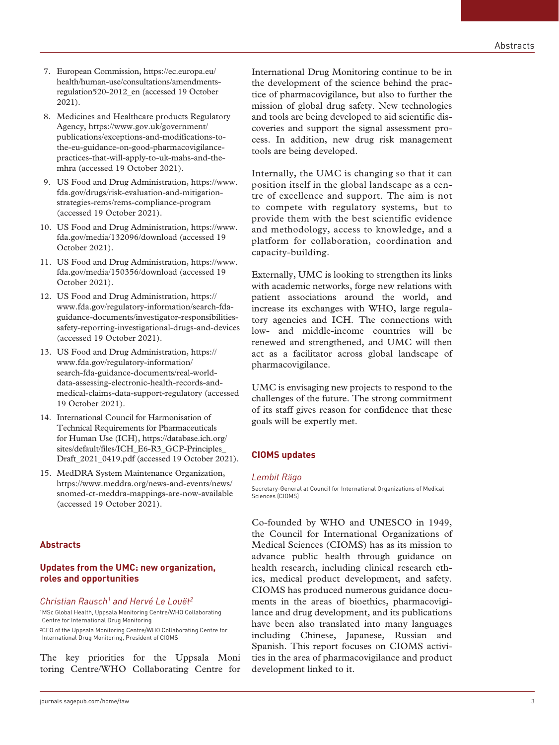- 7. European Commission, https://ec.europa.eu/ health/human-use/consultations/amendmentsregulation520-2012\_en (accessed 19 October 2021).
- 8. Medicines and Healthcare products Regulatory Agency, https://www.gov.uk/government/ publications/exceptions-and-modifications-tothe-eu-guidance-on-good-pharmacovigilancepractices-that-will-apply-to-uk-mahs-and-themhra (accessed 19 October 2021).
- 9. US Food and Drug Administration, https://www. fda.gov/drugs/risk-evaluation-and-mitigationstrategies-rems/rems-compliance-program (accessed 19 October 2021).
- 10. US Food and Drug Administration, https://www. fda.gov/media/132096/download (accessed 19 October 2021).
- 11. US Food and Drug Administration, https://www. fda.gov/media/150356/download (accessed 19 October 2021).
- 12. US Food and Drug Administration, https:// www.fda.gov/regulatory-information/search-fdaguidance-documents/investigator-responsibilitiessafety-reporting-investigational-drugs-and-devices (accessed 19 October 2021).
- 13. US Food and Drug Administration, https:// www.fda.gov/regulatory-information/ search-fda-guidance-documents/real-worlddata-assessing-electronic-health-records-andmedical-claims-data-support-regulatory (accessed 19 October 2021).
- 14. International Council for Harmonisation of Technical Requirements for Pharmaceuticals for Human Use (ICH), https://database.ich.org/ sites/default/files/ICH\_E6-R3\_GCP-Principles\_ Draft\_2021\_0419.pdf (accessed 19 October 2021).
- 15. MedDRA System Maintenance Organization, https://www.meddra.org/news-and-events/news/ snomed-ct-meddra-mappings-are-now-available (accessed 19 October 2021).

## **Abstracts**

# **Updates from the UMC: new organization, roles and opportunities**

## *Christian Rausch1 and Hervé Le Louët2*

1MSc Global Health, Uppsala Monitoring Centre/WHO Collaborating Centre for International Drug Monitoring 2CEO of the Uppsala Monitoring Centre/WHO Collaborating Centre for International Drug Monitoring, President of CIOMS

The key priorities for the Uppsala Moni toring Centre/WHO Collaborating Centre for International Drug Monitoring continue to be in the development of the science behind the practice of pharmacovigilance, but also to further the mission of global drug safety. New technologies and tools are being developed to aid scientific discoveries and support the signal assessment process. In addition, new drug risk management tools are being developed.

Internally, the UMC is changing so that it can position itself in the global landscape as a centre of excellence and support. The aim is not to compete with regulatory systems, but to provide them with the best scientific evidence and methodology, access to knowledge, and a platform for collaboration, coordination and capacity-building.

Externally, UMC is looking to strengthen its links with academic networks, forge new relations with patient associations around the world, and increase its exchanges with WHO, large regulatory agencies and ICH. The connections with low- and middle-income countries will be renewed and strengthened, and UMC will then act as a facilitator across global landscape of pharmacovigilance.

UMC is envisaging new projects to respond to the challenges of the future. The strong commitment of its staff gives reason for confidence that these goals will be expertly met.

# **CIOMS updates**

## *Lembit Rägo*

Secretary-General at Council for International Organizations of Medical Sciences (CIOMS)

Co-founded by WHO and UNESCO in 1949, the Council for International Organizations of Medical Sciences (CIOMS) has as its mission to advance public health through guidance on health research, including clinical research ethics, medical product development, and safety. CIOMS has produced numerous guidance documents in the areas of bioethics, pharmacovigilance and drug development, and its publications have been also translated into many languages including Chinese, Japanese, Russian and Spanish. This report focuses on CIOMS activities in the area of pharmacovigilance and product development linked to it.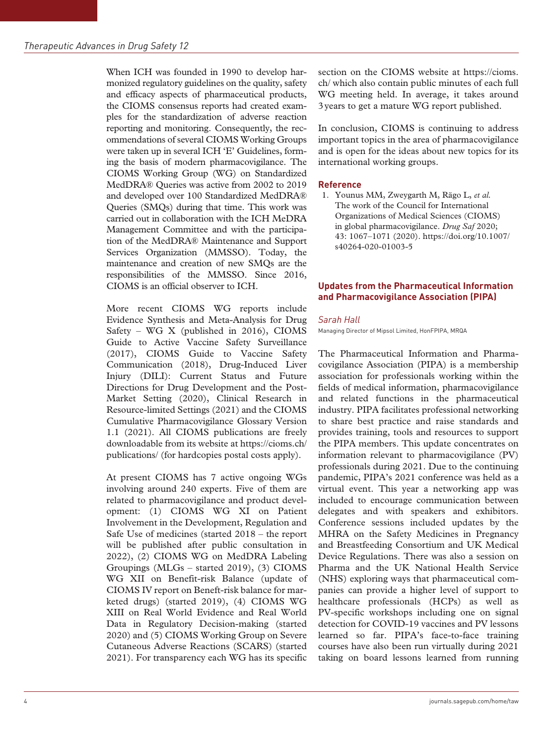When ICH was founded in 1990 to develop harmonized regulatory guidelines on the quality, safety and efficacy aspects of pharmaceutical products, the CIOMS consensus reports had created examples for the standardization of adverse reaction reporting and monitoring. Consequently, the recommendations of several CIOMS Working Groups were taken up in several ICH 'E' Guidelines, forming the basis of modern pharmacovigilance. The CIOMS Working Group (WG) on Standardized MedDRA® Queries was active from 2002 to 2019 and developed over 100 Standardized MedDRA® Queries (SMQs) during that time. This work was carried out in collaboration with the ICH MeDRA Management Committee and with the participation of the MedDRA® Maintenance and Support Services Organization (MMSSO). Today, the maintenance and creation of new SMQs are the responsibilities of the MMSSO. Since 2016, CIOMS is an official observer to ICH.

More recent CIOMS WG reports include Evidence Synthesis and Meta-Analysis for Drug Safety – WG X (published in 2016), CIOMS Guide to Active Vaccine Safety Surveillance (2017), CIOMS Guide to Vaccine Safety Communication (2018), Drug-Induced Liver Injury (DILI): Current Status and Future Directions for Drug Development and the Post-Market Setting (2020), Clinical Research in Resource-limited Settings (2021) and the CIOMS Cumulative Pharmacovigilance Glossary Version 1.1 (2021). All CIOMS publications are freely downloadable from its website at https://cioms.ch/ publications/ (for hardcopies postal costs apply).

At present CIOMS has 7 active ongoing WGs involving around 240 experts. Five of them are related to pharmacovigilance and product development: (1) CIOMS WG XI on Patient Involvement in the Development, Regulation and Safe Use of medicines (started 2018 – the report will be published after public consultation in 2022), (2) CIOMS WG on MedDRA Labeling Groupings (MLGs – started 2019), (3) CIOMS WG XII on Benefit-risk Balance (update of CIOMS IV report on Beneft-risk balance for marketed drugs) (started 2019), (4) CIOMS WG XIII on Real World Evidence and Real World Data in Regulatory Decision-making (started 2020) and (5) CIOMS Working Group on Severe Cutaneous Adverse Reactions (SCARS) (started 2021). For transparency each WG has its specific

section on the CIOMS website at https://cioms. ch/ which also contain public minutes of each full WG meeting held. In average, it takes around 3years to get a mature WG report published.

In conclusion, CIOMS is continuing to address important topics in the area of pharmacovigilance and is open for the ideas about new topics for its international working groups.

# **Reference**

1. Younus MM, Zweygarth M, Rägo L, *et al.* The work of the Council for International Organizations of Medical Sciences (CIOMS) in global pharmacovigilance. *Drug Saf* 2020; 43: 1067–1071 (2020). https://doi.org/10.1007/ s40264-020-01003-5

# **Updates from the Pharmaceutical Information and Pharmacovigilance Association (PIPA)**

# *Sarah Hall*

Managing Director of Mipsol Limited, HonFPIPA, MRQA

The Pharmaceutical Information and Pharmacovigilance Association (PIPA) is a membership association for professionals working within the fields of medical information, pharmacovigilance and related functions in the pharmaceutical industry. PIPA facilitates professional networking to share best practice and raise standards and provides training, tools and resources to support the PIPA members. This update concentrates on information relevant to pharmacovigilance (PV) professionals during 2021. Due to the continuing pandemic, PIPA's 2021 conference was held as a virtual event. This year a networking app was included to encourage communication between delegates and with speakers and exhibitors. Conference sessions included updates by the MHRA on the Safety Medicines in Pregnancy and Breastfeeding Consortium and UK Medical Device Regulations. There was also a session on Pharma and the UK National Health Service (NHS) exploring ways that pharmaceutical companies can provide a higher level of support to healthcare professionals (HCPs) as well as PV-specific workshops including one on signal detection for COVID-19 vaccines and PV lessons learned so far. PIPA's face-to-face training courses have also been run virtually during 2021 taking on board lessons learned from running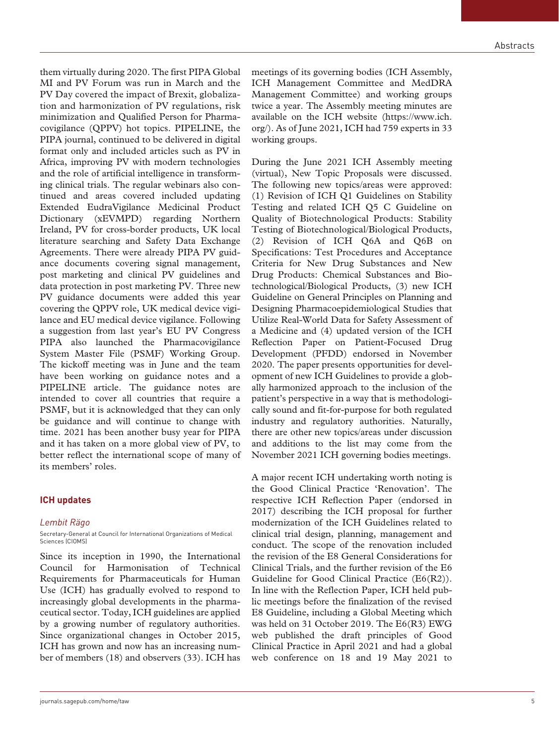them virtually during 2020. The first PIPA Global MI and PV Forum was run in March and the PV Day covered the impact of Brexit, globalization and harmonization of PV regulations, risk minimization and Qualified Person for Pharmacovigilance (QPPV) hot topics. PIPELINE, the PIPA journal, continued to be delivered in digital format only and included articles such as PV in Africa, improving PV with modern technologies and the role of artificial intelligence in transforming clinical trials. The regular webinars also continued and areas covered included updating Extended EudraVigilance Medicinal Product Dictionary (xEVMPD) regarding Northern Ireland, PV for cross-border products, UK local literature searching and Safety Data Exchange Agreements. There were already PIPA PV guidance documents covering signal management, post marketing and clinical PV guidelines and data protection in post marketing PV. Three new PV guidance documents were added this year covering the QPPV role, UK medical device vigilance and EU medical device vigilance. Following a suggestion from last year's EU PV Congress PIPA also launched the Pharmacovigilance System Master File (PSMF) Working Group. The kickoff meeting was in June and the team have been working on guidance notes and a PIPELINE article. The guidance notes are intended to cover all countries that require a PSMF, but it is acknowledged that they can only be guidance and will continue to change with time. 2021 has been another busy year for PIPA and it has taken on a more global view of PV, to better reflect the international scope of many of its members' roles.

#### **ICH updates**

## *Lembit Rägo*

Secretary-General at Council for International Organizations of Medical Sciences (CIOMS)

Since its inception in 1990, the International Council for Harmonisation of Technical Requirements for Pharmaceuticals for Human Use (ICH) has gradually evolved to respond to increasingly global developments in the pharmaceutical sector. Today, ICH guidelines are applied by a growing number of regulatory authorities. Since organizational changes in October 2015, ICH has grown and now has an increasing number of members (18) and observers (33). ICH has

meetings of its governing bodies (ICH Assembly, ICH Management Committee and MedDRA Management Committee) and working groups twice a year. The Assembly meeting minutes are available on the ICH website (https://www.ich. org/). As of June 2021, ICH had 759 experts in 33 working groups.

During the June 2021 ICH Assembly meeting (virtual), New Topic Proposals were discussed. The following new topics/areas were approved: (1) Revision of ICH Q1 Guidelines on Stability Testing and related ICH Q5 C Guideline on Quality of Biotechnological Products: Stability Testing of Biotechnological/Biological Products, (2) Revision of ICH Q6A and Q6B on Specifications: Test Procedures and Acceptance Criteria for New Drug Substances and New Drug Products: Chemical Substances and Biotechnological/Biological Products, (3) new ICH Guideline on General Principles on Planning and Designing Pharmacoepidemiological Studies that Utilize Real-World Data for Safety Assessment of a Medicine and (4) updated version of the ICH Reflection Paper on Patient-Focused Drug Development (PFDD) endorsed in November 2020. The paper presents opportunities for development of new ICH Guidelines to provide a globally harmonized approach to the inclusion of the patient's perspective in a way that is methodologically sound and fit-for-purpose for both regulated industry and regulatory authorities. Naturally, there are other new topics/areas under discussion and additions to the list may come from the November 2021 ICH governing bodies meetings.

A major recent ICH undertaking worth noting is the Good Clinical Practice 'Renovation'. The respective ICH Reflection Paper (endorsed in 2017) describing the ICH proposal for further modernization of the ICH Guidelines related to clinical trial design, planning, management and conduct. The scope of the renovation included the revision of the E8 General Considerations for Clinical Trials, and the further revision of the E6 Guideline for Good Clinical Practice (E6(R2)). In line with the Reflection Paper, ICH held public meetings before the finalization of the revised E8 Guideline, including a Global Meeting which was held on 31 October 2019. The E6(R3) EWG web published the draft principles of Good Clinical Practice in April 2021 and had a global web conference on 18 and 19 May 2021 to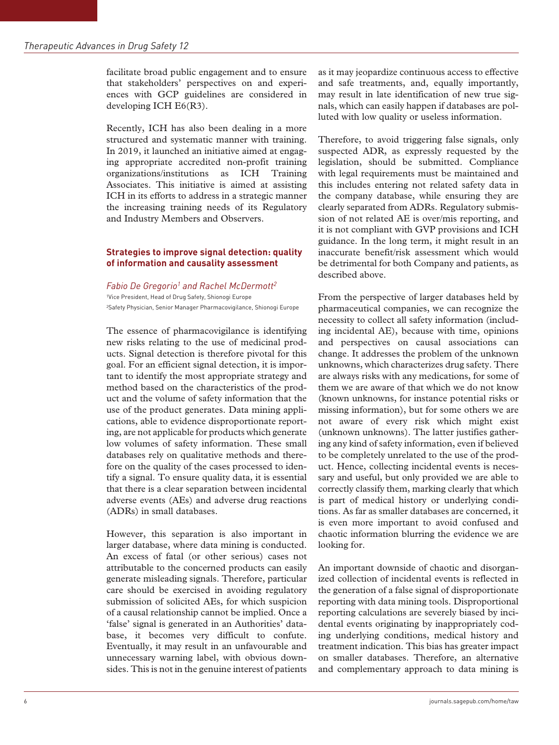facilitate broad public engagement and to ensure that stakeholders' perspectives on and experiences with GCP guidelines are considered in developing ICH E6(R3).

Recently, ICH has also been dealing in a more structured and systematic manner with training. In 2019, it launched an initiative aimed at engaging appropriate accredited non-profit training organizations/institutions as ICH Training Associates. This initiative is aimed at assisting ICH in its efforts to address in a strategic manner the increasing training needs of its Regulatory and Industry Members and Observers.

## **Strategies to improve signal detection: quality of information and causality assessment**

### *Fabio De Gregorio1 and Rachel McDermott2*

1Vice President, Head of Drug Safety, Shionogi Europe 2Safety Physician, Senior Manager Pharmacovigilance, Shionogi Europe

The essence of pharmacovigilance is identifying new risks relating to the use of medicinal products. Signal detection is therefore pivotal for this goal. For an efficient signal detection, it is important to identify the most appropriate strategy and method based on the characteristics of the product and the volume of safety information that the use of the product generates. Data mining applications, able to evidence disproportionate reporting, are not applicable for products which generate low volumes of safety information. These small databases rely on qualitative methods and therefore on the quality of the cases processed to identify a signal. To ensure quality data, it is essential that there is a clear separation between incidental adverse events (AEs) and adverse drug reactions (ADRs) in small databases.

However, this separation is also important in larger database, where data mining is conducted. An excess of fatal (or other serious) cases not attributable to the concerned products can easily generate misleading signals. Therefore, particular care should be exercised in avoiding regulatory submission of solicited AEs, for which suspicion of a causal relationship cannot be implied. Once a 'false' signal is generated in an Authorities' database, it becomes very difficult to confute. Eventually, it may result in an unfavourable and unnecessary warning label, with obvious downsides. This is not in the genuine interest of patients as it may jeopardize continuous access to effective and safe treatments, and, equally importantly, may result in late identification of new true signals, which can easily happen if databases are polluted with low quality or useless information.

Therefore, to avoid triggering false signals, only suspected ADR, as expressly requested by the legislation, should be submitted. Compliance with legal requirements must be maintained and this includes entering not related safety data in the company database, while ensuring they are clearly separated from ADRs. Regulatory submission of not related AE is over/mis reporting, and it is not compliant with GVP provisions and ICH guidance. In the long term, it might result in an inaccurate benefit/risk assessment which would be detrimental for both Company and patients, as described above.

From the perspective of larger databases held by pharmaceutical companies, we can recognize the necessity to collect all safety information (including incidental AE), because with time, opinions and perspectives on causal associations can change. It addresses the problem of the unknown unknowns, which characterizes drug safety. There are always risks with any medications, for some of them we are aware of that which we do not know (known unknowns, for instance potential risks or missing information), but for some others we are not aware of every risk which might exist (unknown unknowns). The latter justifies gathering any kind of safety information, even if believed to be completely unrelated to the use of the product. Hence, collecting incidental events is necessary and useful, but only provided we are able to correctly classify them, marking clearly that which is part of medical history or underlying conditions. As far as smaller databases are concerned, it is even more important to avoid confused and chaotic information blurring the evidence we are looking for.

An important downside of chaotic and disorganized collection of incidental events is reflected in the generation of a false signal of disproportionate reporting with data mining tools. Disproportional reporting calculations are severely biased by incidental events originating by inappropriately coding underlying conditions, medical history and treatment indication. This bias has greater impact on smaller databases. Therefore, an alternative and complementary approach to data mining is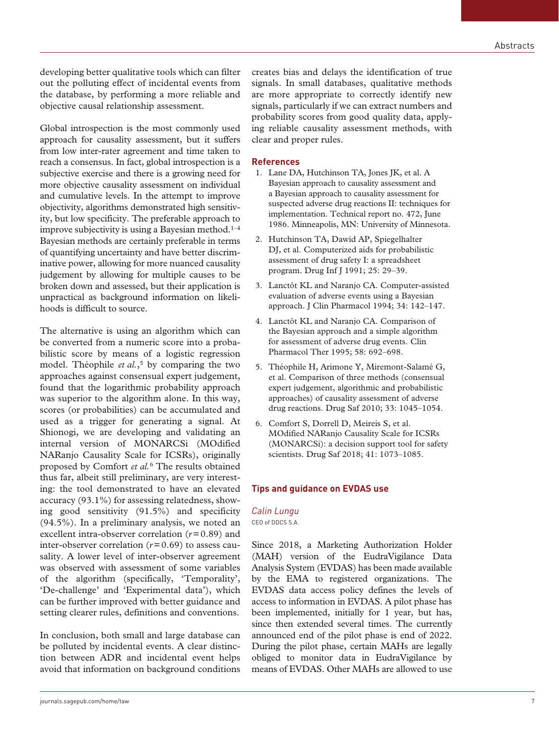developing better qualitative tools which can filter out the polluting effect of incidental events from the database, by performing a more reliable and objective causal relationship assessment.

Global introspection is the most commonly used approach for causality assessment, but it suffers from low inter-rater agreement and time taken to reach a consensus. In fact, global introspection is a subjective exercise and there is a growing need for more objective causality assessment on individual and cumulative levels. In the attempt to improve objectivity, algorithms demonstrated high sensitivity, but low specificity. The preferable approach to improve subjectivity is using a Bayesian method.<sup>1-4</sup> Bayesian methods are certainly preferable in terms of quantifying uncertainty and have better discriminative power, allowing for more nuanced causality judgement by allowing for multiple causes to be broken down and assessed, but their application is unpractical as background information on likelihoods is difficult to source.

The alternative is using an algorithm which can be converted from a numeric score into a probabilistic score by means of a logistic regression model. Théophile *et al.*,<sup>5</sup> by comparing the two approaches against consensual expert judgement, found that the logarithmic probability approach was superior to the algorithm alone. In this way, scores (or probabilities) can be accumulated and used as a trigger for generating a signal. At Shionogi, we are developing and validating an internal version of MONARCSi (MOdified NARanjo Causality Scale for ICSRs), originally proposed by Comfort *et al.*6 The results obtained thus far, albeit still preliminary, are very interesting: the tool demonstrated to have an elevated accuracy (93.1%) for assessing relatedness, showing good sensitivity (91.5%) and specificity (94.5%). In a preliminary analysis, we noted an excellent intra-observer correlation (*r*=0.89) and inter-observer correlation (*r*=0.69) to assess causality. A lower level of inter-observer agreement was observed with assessment of some variables of the algorithm (specifically, 'Temporality', 'De-challenge' and 'Experimental data'), which can be further improved with better guidance and setting clearer rules, definitions and conventions.

In conclusion, both small and large database can be polluted by incidental events. A clear distinction between ADR and incidental event helps avoid that information on background conditions

creates bias and delays the identification of true signals. In small databases, qualitative methods are more appropriate to correctly identify new signals, particularly if we can extract numbers and probability scores from good quality data, applying reliable causality assessment methods, with clear and proper rules.

#### **References**

- 1. Lane DA, Hutchinson TA, Jones JK, et al. A Bayesian approach to causality assessment and a Bayesian approach to causality assessment for suspected adverse drug reactions II: techniques for implementation. Technical report no. 472, June 1986. Minneapolis, MN: University of Minnesota.
- 2. Hutchinson TA, Dawid AP, Spiegelhalter DJ, et al. Computerized aids for probabilistic assessment of drug safety I: a spreadsheet program. Drug Inf J 1991; 25: 29–39.
- 3. Lanctôt KL and Naranjo CA. Computer-assisted evaluation of adverse events using a Bayesian approach. J Clin Pharmacol 1994; 34: 142–147.
- 4. Lanctôt KL and Naranjo CA. Comparison of the Bayesian approach and a simple algorithm for assessment of adverse drug events. Clin Pharmacol Ther 1995; 58: 692–698.
- 5. Théophile H, Arimone Y, Miremont-Salamé G, et al. Comparison of three methods (consensual expert judgement, algorithmic and probabilistic approaches) of causality assessment of adverse drug reactions. Drug Saf 2010; 33: 1045–1054.
- 6. Comfort S, Dorrell D, Meireis S, et al. MOdified NARanjo Causality Scale for ICSRs (MONARCSi): a decision support tool for safety scientists. Drug Saf 2018; 41: 1073–1085.

## **Tips and guidance on EVDAS use**

#### *Calin Lungu* CEO of DDCS S.A.

Since 2018, a Marketing Authorization Holder (MAH) version of the EudraVigilance Data Analysis System (EVDAS) has been made available by the EMA to registered organizations. The EVDAS data access policy defines the levels of access to information in EVDAS. A pilot phase has been implemented, initially for 1 year, but has, since then extended several times. The currently announced end of the pilot phase is end of 2022. During the pilot phase, certain MAHs are legally obliged to monitor data in EudraVigilance by means of EVDAS. Other MAHs are allowed to use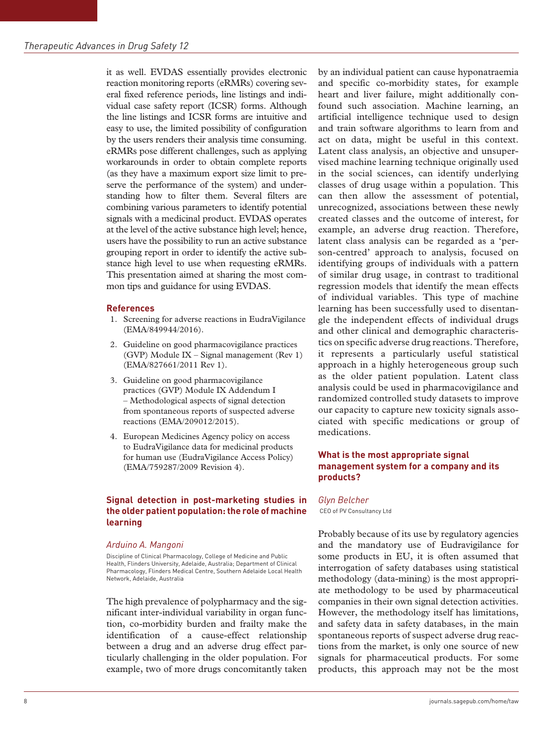it as well. EVDAS essentially provides electronic reaction monitoring reports (eRMRs) covering several fixed reference periods, line listings and individual case safety report (ICSR) forms. Although the line listings and ICSR forms are intuitive and easy to use, the limited possibility of configuration by the users renders their analysis time consuming. eRMRs pose different challenges, such as applying workarounds in order to obtain complete reports (as they have a maximum export size limit to preserve the performance of the system) and understanding how to filter them. Several filters are combining various parameters to identify potential signals with a medicinal product. EVDAS operates at the level of the active substance high level; hence, users have the possibility to run an active substance grouping report in order to identify the active substance high level to use when requesting eRMRs. This presentation aimed at sharing the most common tips and guidance for using EVDAS.

#### **References**

- 1. Screening for adverse reactions in EudraVigilance (EMA/849944/2016).
- 2. Guideline on good pharmacovigilance practices (GVP) Module IX – Signal management (Rev 1) (EMA/827661/2011 Rev 1).
- 3. Guideline on good pharmacovigilance practices (GVP) Module IX Addendum I – Methodological aspects of signal detection from spontaneous reports of suspected adverse reactions (EMA/209012/2015).
- 4. European Medicines Agency policy on access to EudraVigilance data for medicinal products for human use (EudraVigilance Access Policy) (EMA/759287/2009 Revision 4).

# **Signal detection in post-marketing studies in the older patient population: the role of machine learning**

#### *Arduino A. Mangoni*

Discipline of Clinical Pharmacology, College of Medicine and Public Health, Flinders University, Adelaide, Australia; Department of Clinical Pharmacology, Flinders Medical Centre, Southern Adelaide Local Health Network, Adelaide, Australia

The high prevalence of polypharmacy and the significant inter-individual variability in organ function, co-morbidity burden and frailty make the identification of a cause-effect relationship between a drug and an adverse drug effect particularly challenging in the older population. For example, two of more drugs concomitantly taken by an individual patient can cause hyponatraemia and specific co-morbidity states, for example heart and liver failure, might additionally confound such association. Machine learning, an artificial intelligence technique used to design and train software algorithms to learn from and act on data, might be useful in this context. Latent class analysis, an objective and unsupervised machine learning technique originally used in the social sciences, can identify underlying classes of drug usage within a population. This can then allow the assessment of potential, unrecognized, associations between these newly created classes and the outcome of interest, for example, an adverse drug reaction. Therefore, latent class analysis can be regarded as a 'person-centred' approach to analysis, focused on identifying groups of individuals with a pattern of similar drug usage, in contrast to traditional regression models that identify the mean effects of individual variables. This type of machine learning has been successfully used to disentangle the independent effects of individual drugs and other clinical and demographic characteristics on specific adverse drug reactions. Therefore, it represents a particularly useful statistical approach in a highly heterogeneous group such as the older patient population. Latent class analysis could be used in pharmacovigilance and randomized controlled study datasets to improve our capacity to capture new toxicity signals associated with specific medications or group of medications.

## **What is the most appropriate signal management system for a company and its products?**

*Glyn Belcher* CEO of PV Consultancy Ltd

Probably because of its use by regulatory agencies and the mandatory use of Eudravigilance for some products in EU, it is often assumed that interrogation of safety databases using statistical methodology (data-mining) is the most appropriate methodology to be used by pharmaceutical companies in their own signal detection activities. However, the methodology itself has limitations, and safety data in safety databases, in the main spontaneous reports of suspect adverse drug reactions from the market, is only one source of new signals for pharmaceutical products. For some products, this approach may not be the most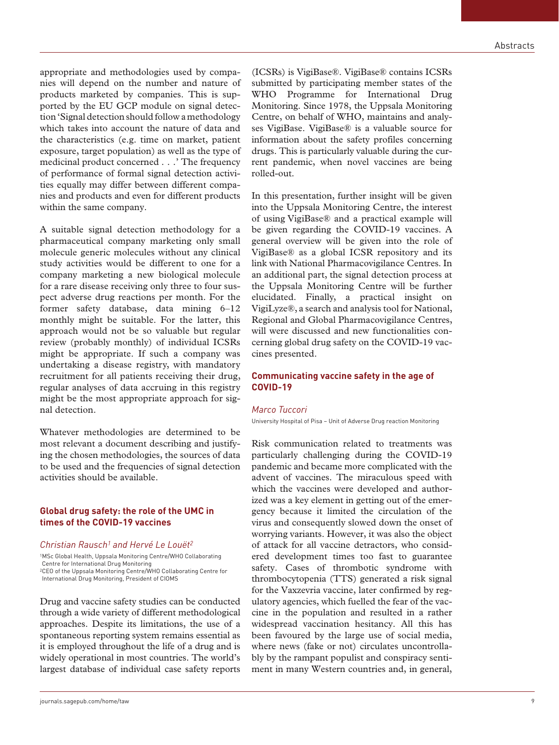appropriate and methodologies used by companies will depend on the number and nature of products marketed by companies. This is supported by the EU GCP module on signal detection 'Signal detection should follow a methodology which takes into account the nature of data and the characteristics (e.g. time on market, patient exposure, target population) as well as the type of medicinal product concerned . . .' The frequency of performance of formal signal detection activities equally may differ between different companies and products and even for different products within the same company.

A suitable signal detection methodology for a pharmaceutical company marketing only small molecule generic molecules without any clinical study activities would be different to one for a company marketing a new biological molecule for a rare disease receiving only three to four suspect adverse drug reactions per month. For the former safety database, data mining 6–12 monthly might be suitable. For the latter, this approach would not be so valuable but regular review (probably monthly) of individual ICSRs might be appropriate. If such a company was undertaking a disease registry, with mandatory recruitment for all patients receiving their drug, regular analyses of data accruing in this registry might be the most appropriate approach for signal detection.

Whatever methodologies are determined to be most relevant a document describing and justifying the chosen methodologies, the sources of data to be used and the frequencies of signal detection activities should be available.

## **Global drug safety: the role of the UMC in times of the COVID-19 vaccines**

#### *Christian Rausch1 and Hervé Le Louët2*

1MSc Global Health, Uppsala Monitoring Centre/WHO Collaborating Centre for International Drug Monitoring 2CEO of the Uppsala Monitoring Centre/WHO Collaborating Centre for International Drug Monitoring, President of CIOMS

Drug and vaccine safety studies can be conducted through a wide variety of different methodological approaches. Despite its limitations, the use of a spontaneous reporting system remains essential as it is employed throughout the life of a drug and is widely operational in most countries. The world's largest database of individual case safety reports

(ICSRs) is VigiBase®. VigiBase® contains ICSRs submitted by participating member states of the WHO Programme for International Drug Monitoring. Since 1978, the Uppsala Monitoring Centre, on behalf of WHO, maintains and analyses VigiBase. VigiBase® is a valuable source for information about the safety profiles concerning drugs. This is particularly valuable during the current pandemic, when novel vaccines are being rolled-out.

In this presentation, further insight will be given into the Uppsala Monitoring Centre, the interest of using VigiBase® and a practical example will be given regarding the COVID-19 vaccines. A general overview will be given into the role of VigiBase® as a global ICSR repository and its link with National Pharmacovigilance Centres. In an additional part, the signal detection process at the Uppsala Monitoring Centre will be further elucidated. Finally, a practical insight on VigiLyze®, a search and analysis tool for National, Regional and Global Pharmacovigilance Centres, will were discussed and new functionalities concerning global drug safety on the COVID-19 vaccines presented.

## **Communicating vaccine safety in the age of COVID-19**

#### *Marco Tuccori*

University Hospital of Pisa – Unit of Adverse Drug reaction Monitoring

Risk communication related to treatments was particularly challenging during the COVID-19 pandemic and became more complicated with the advent of vaccines. The miraculous speed with which the vaccines were developed and authorized was a key element in getting out of the emergency because it limited the circulation of the virus and consequently slowed down the onset of worrying variants. However, it was also the object of attack for all vaccine detractors, who considered development times too fast to guarantee safety. Cases of thrombotic syndrome with thrombocytopenia (TTS) generated a risk signal for the Vaxzevria vaccine, later confirmed by regulatory agencies, which fuelled the fear of the vaccine in the population and resulted in a rather widespread vaccination hesitancy. All this has been favoured by the large use of social media, where news (fake or not) circulates uncontrollably by the rampant populist and conspiracy sentiment in many Western countries and, in general,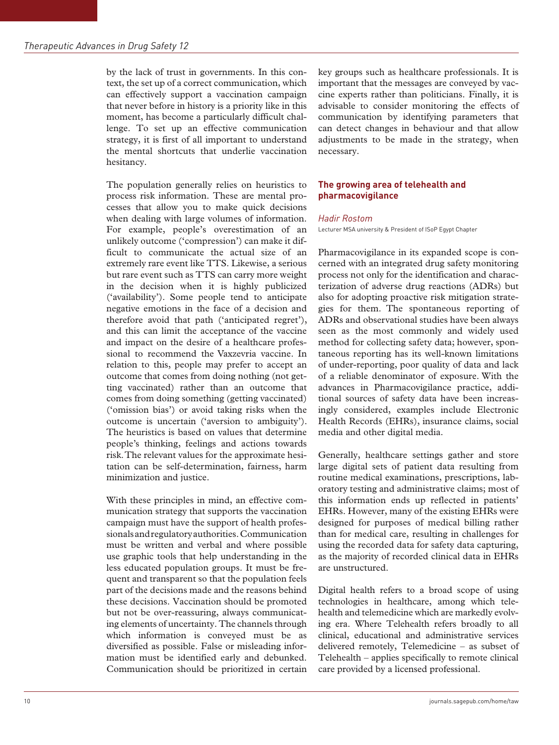by the lack of trust in governments. In this context, the set up of a correct communication, which can effectively support a vaccination campaign that never before in history is a priority like in this moment, has become a particularly difficult challenge. To set up an effective communication strategy, it is first of all important to understand the mental shortcuts that underlie vaccination hesitancy.

The population generally relies on heuristics to process risk information. These are mental processes that allow you to make quick decisions when dealing with large volumes of information. For example, people's overestimation of an unlikely outcome ('compression') can make it difficult to communicate the actual size of an extremely rare event like TTS. Likewise, a serious but rare event such as TTS can carry more weight in the decision when it is highly publicized ('availability'). Some people tend to anticipate negative emotions in the face of a decision and therefore avoid that path ('anticipated regret'), and this can limit the acceptance of the vaccine and impact on the desire of a healthcare professional to recommend the Vaxzevria vaccine. In relation to this, people may prefer to accept an outcome that comes from doing nothing (not getting vaccinated) rather than an outcome that comes from doing something (getting vaccinated) ('omission bias') or avoid taking risks when the outcome is uncertain ('aversion to ambiguity'). The heuristics is based on values that determine people's thinking, feelings and actions towards risk. The relevant values for the approximate hesitation can be self-determination, fairness, harm minimization and justice.

With these principles in mind, an effective communication strategy that supports the vaccination campaign must have the support of health professionals and regulatory authorities. Communication must be written and verbal and where possible use graphic tools that help understanding in the less educated population groups. It must be frequent and transparent so that the population feels part of the decisions made and the reasons behind these decisions. Vaccination should be promoted but not be over-reassuring, always communicating elements of uncertainty. The channels through which information is conveyed must be as diversified as possible. False or misleading information must be identified early and debunked. Communication should be prioritized in certain key groups such as healthcare professionals. It is important that the messages are conveyed by vaccine experts rather than politicians. Finally, it is advisable to consider monitoring the effects of communication by identifying parameters that can detect changes in behaviour and that allow adjustments to be made in the strategy, when necessary.

## **The growing area of telehealth and pharmacovigilance**

#### *Hadir Rostom*

Lecturer MSA university & President of ISoP Egypt Chapter

Pharmacovigilance in its expanded scope is concerned with an integrated drug safety monitoring process not only for the identification and characterization of adverse drug reactions (ADRs) but also for adopting proactive risk mitigation strategies for them. The spontaneous reporting of ADRs and observational studies have been always seen as the most commonly and widely used method for collecting safety data; however, spontaneous reporting has its well-known limitations of under-reporting, poor quality of data and lack of a reliable denominator of exposure. With the advances in Pharmacovigilance practice, additional sources of safety data have been increasingly considered, examples include Electronic Health Records (EHRs), insurance claims, social media and other digital media.

Generally, healthcare settings gather and store large digital sets of patient data resulting from routine medical examinations, prescriptions, laboratory testing and administrative claims; most of this information ends up reflected in patients' EHRs. However, many of the existing EHRs were designed for purposes of medical billing rather than for medical care, resulting in challenges for using the recorded data for safety data capturing, as the majority of recorded clinical data in EHRs are unstructured.

Digital health refers to a broad scope of using technologies in healthcare, among which telehealth and telemedicine which are markedly evolving era. Where Telehealth refers broadly to all clinical, educational and administrative services delivered remotely, Telemedicine – as subset of Telehealth – applies specifically to remote clinical care provided by a licensed professional.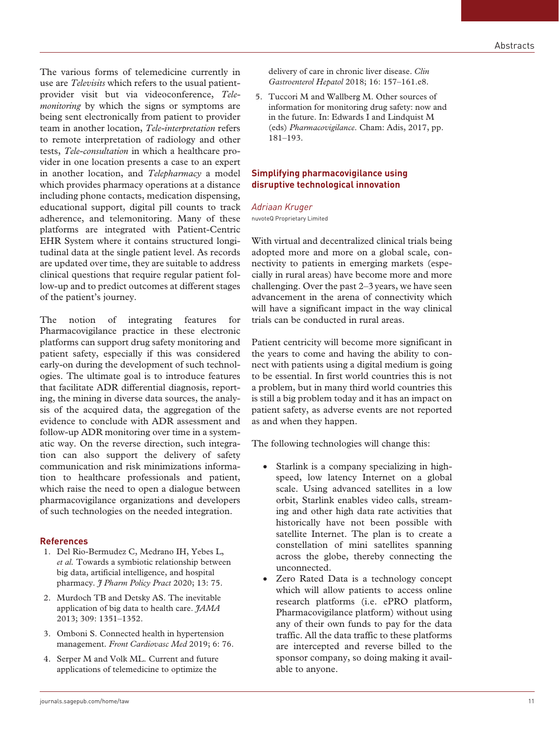The various forms of telemedicine currently in use are *Televisits* which refers to the usual patientprovider visit but via videoconference, *Telemonitoring* by which the signs or symptoms are being sent electronically from patient to provider team in another location, *Tele-interpretation* refers to remote interpretation of radiology and other tests, *Tele-consultation* in which a healthcare provider in one location presents a case to an expert in another location, and *Telepharmacy* a model which provides pharmacy operations at a distance including phone contacts, medication dispensing, educational support, digital pill counts to track adherence, and telemonitoring. Many of these platforms are integrated with Patient-Centric EHR System where it contains structured longitudinal data at the single patient level. As records are updated over time, they are suitable to address clinical questions that require regular patient follow-up and to predict outcomes at different stages of the patient's journey.

The notion of integrating features for Pharmacovigilance practice in these electronic platforms can support drug safety monitoring and patient safety, especially if this was considered early-on during the development of such technologies. The ultimate goal is to introduce features that facilitate ADR differential diagnosis, reporting, the mining in diverse data sources, the analysis of the acquired data, the aggregation of the evidence to conclude with ADR assessment and follow-up ADR monitoring over time in a systematic way. On the reverse direction, such integration can also support the delivery of safety communication and risk minimizations information to healthcare professionals and patient, which raise the need to open a dialogue between pharmacovigilance organizations and developers of such technologies on the needed integration.

#### **References**

- 1. Del Rio-Bermudez C, Medrano IH, Yebes L, *et al.* Towards a symbiotic relationship between big data, artificial intelligence, and hospital pharmacy. *J Pharm Policy Pract* 2020; 13: 75.
- 2. Murdoch TB and Detsky AS. The inevitable application of big data to health care. *JAMA* 2013; 309: 1351–1352.
- 3. Omboni S. Connected health in hypertension management. *Front Cardiovasc Med* 2019; 6: 76.
- 4. Serper M and Volk ML. Current and future applications of telemedicine to optimize the

delivery of care in chronic liver disease. *Clin Gastroenterol Hepatol* 2018; 16: 157–161.e8.

5. Tuccori M and Wallberg M. Other sources of information for monitoring drug safety: now and in the future. In: Edwards I and Lindquist M (eds) *Pharmacovigilance*. Cham: Adis, 2017, pp. 181–193.

## **Simplifying pharmacovigilance using disruptive technological innovation**

#### *Adriaan Kruger*

nuvoteQ Proprietary Limited

With virtual and decentralized clinical trials being adopted more and more on a global scale, connectivity to patients in emerging markets (especially in rural areas) have become more and more challenging. Over the past 2–3years, we have seen advancement in the arena of connectivity which will have a significant impact in the way clinical trials can be conducted in rural areas.

Patient centricity will become more significant in the years to come and having the ability to connect with patients using a digital medium is going to be essential. In first world countries this is not a problem, but in many third world countries this is still a big problem today and it has an impact on patient safety, as adverse events are not reported as and when they happen.

The following technologies will change this:

- Starlink is a company specializing in highspeed, low latency Internet on a global scale. Using advanced satellites in a low orbit, Starlink enables video calls, streaming and other high data rate activities that historically have not been possible with satellite Internet. The plan is to create a constellation of mini satellites spanning across the globe, thereby connecting the unconnected.
- Zero Rated Data is a technology concept which will allow patients to access online research platforms (i.e. ePRO platform, Pharmacovigilance platform) without using any of their own funds to pay for the data traffic. All the data traffic to these platforms are intercepted and reverse billed to the sponsor company, so doing making it available to anyone.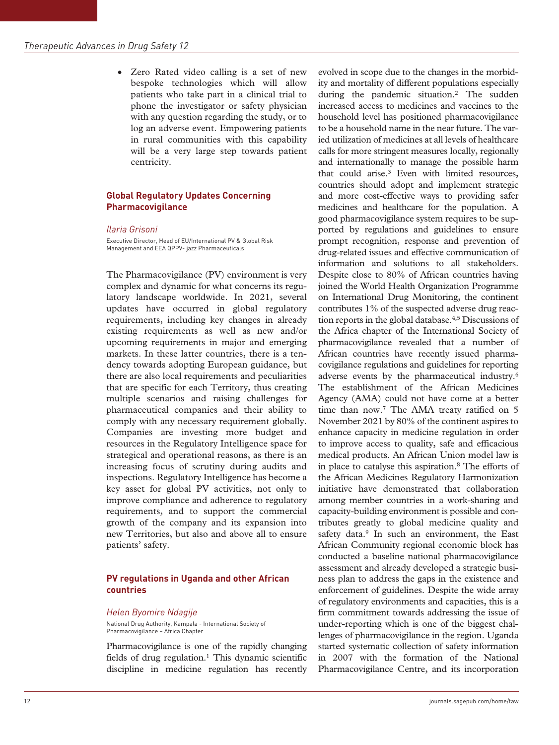• Zero Rated video calling is a set of new bespoke technologies which will allow patients who take part in a clinical trial to phone the investigator or safety physician with any question regarding the study, or to log an adverse event. Empowering patients in rural communities with this capability will be a very large step towards patient centricity.

## **Global Regulatory Updates Concerning Pharmacovigilance**

#### *Ilaria Grisoni*

Executive Director, Head of EU/International PV & Global Risk Management and EEA QPPV- jazz Pharmaceuticals

The Pharmacovigilance (PV) environment is very complex and dynamic for what concerns its regulatory landscape worldwide. In 2021, several updates have occurred in global regulatory requirements, including key changes in already existing requirements as well as new and/or upcoming requirements in major and emerging markets. In these latter countries, there is a tendency towards adopting European guidance, but there are also local requirements and peculiarities that are specific for each Territory, thus creating multiple scenarios and raising challenges for pharmaceutical companies and their ability to comply with any necessary requirement globally. Companies are investing more budget and resources in the Regulatory Intelligence space for strategical and operational reasons, as there is an increasing focus of scrutiny during audits and inspections. Regulatory Intelligence has become a key asset for global PV activities, not only to improve compliance and adherence to regulatory requirements, and to support the commercial growth of the company and its expansion into new Territories, but also and above all to ensure patients' safety.

## **PV regulations in Uganda and other African countries**

#### *Helen Byomire Ndagije*

National Drug Authority, Kampala - International Society of Pharmacovigilance – Africa Chapter

Pharmacovigilance is one of the rapidly changing fields of drug regulation.<sup>1</sup> This dynamic scientific discipline in medicine regulation has recently

evolved in scope due to the changes in the morbidity and mortality of different populations especially during the pandemic situation.2 The sudden increased access to medicines and vaccines to the household level has positioned pharmacovigilance to be a household name in the near future. The varied utilization of medicines at all levels of healthcare calls for more stringent measures locally, regionally and internationally to manage the possible harm that could arise.3 Even with limited resources, countries should adopt and implement strategic and more cost-effective ways to providing safer medicines and healthcare for the population. A good pharmacovigilance system requires to be supported by regulations and guidelines to ensure prompt recognition, response and prevention of drug-related issues and effective communication of information and solutions to all stakeholders. Despite close to 80% of African countries having joined the World Health Organization Programme on International Drug Monitoring, the continent contributes 1% of the suspected adverse drug reaction reports in the global database.4,5 Discussions of the Africa chapter of the International Society of pharmacovigilance revealed that a number of African countries have recently issued pharmacovigilance regulations and guidelines for reporting adverse events by the pharmaceutical industry.6 The establishment of the African Medicines Agency (AMA) could not have come at a better time than now.7 The AMA treaty ratified on 5 November 2021 by 80% of the continent aspires to enhance capacity in medicine regulation in order to improve access to quality, safe and efficacious medical products. An African Union model law is in place to catalyse this aspiration.8 The efforts of the African Medicines Regulatory Harmonization initiative have demonstrated that collaboration among member countries in a work-sharing and capacity-building environment is possible and contributes greatly to global medicine quality and safety data.<sup>9</sup> In such an environment, the East African Community regional economic block has conducted a baseline national pharmacovigilance assessment and already developed a strategic business plan to address the gaps in the existence and enforcement of guidelines. Despite the wide array of regulatory environments and capacities, this is a firm commitment towards addressing the issue of under-reporting which is one of the biggest challenges of pharmacovigilance in the region. Uganda started systematic collection of safety information in 2007 with the formation of the National Pharmacovigilance Centre, and its incorporation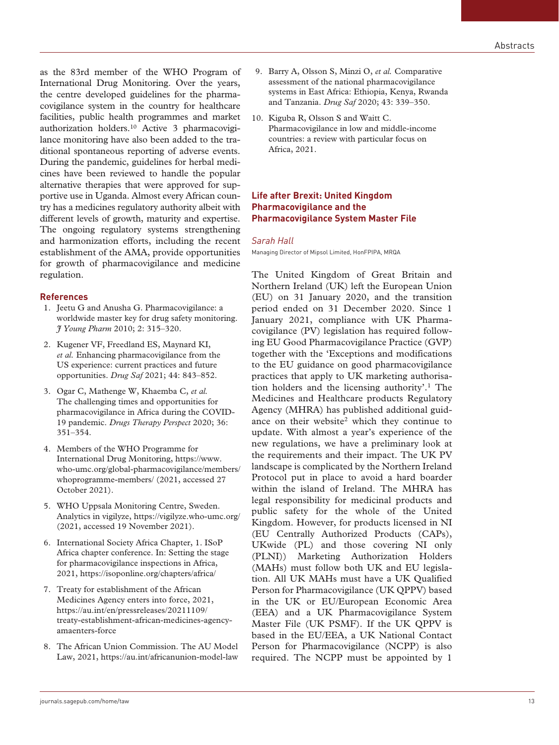as the 83rd member of the WHO Program of International Drug Monitoring. Over the years, the centre developed guidelines for the pharmacovigilance system in the country for healthcare facilities, public health programmes and market authorization holders.10 Active 3 pharmacovigilance monitoring have also been added to the traditional spontaneous reporting of adverse events. During the pandemic, guidelines for herbal medicines have been reviewed to handle the popular alternative therapies that were approved for supportive use in Uganda. Almost every African country has a medicines regulatory authority albeit with different levels of growth, maturity and expertise. The ongoing regulatory systems strengthening and harmonization efforts, including the recent establishment of the AMA, provide opportunities for growth of pharmacovigilance and medicine regulation.

## **References**

- 1. Jeetu G and Anusha G. Pharmacovigilance: a worldwide master key for drug safety monitoring. *J Young Pharm* 2010; 2: 315–320.
- 2. Kugener VF, Freedland ES, Maynard KI, *et al.* Enhancing pharmacovigilance from the US experience: current practices and future opportunities. *Drug Saf* 2021; 44: 843–852.
- 3. Ogar C, Mathenge W, Khaemba C, *et al.* The challenging times and opportunities for pharmacovigilance in Africa during the COVID-19 pandemic. *Drugs Therapy Perspect* 2020; 36: 351–354.
- 4. Members of the WHO Programme for International Drug Monitoring, https://www. who-umc.org/global-pharmacovigilance/members/ whoprogramme-members/ (2021, accessed 27 October 2021).
- 5. WHO Uppsala Monitoring Centre, Sweden. Analytics in vigilyze, https://vigilyze.who-umc.org/ (2021, accessed 19 November 2021).
- 6. International Society Africa Chapter, 1. ISoP Africa chapter conference. In: Setting the stage for pharmacovigilance inspections in Africa, 2021, https://isoponline.org/chapters/africa/
- 7. Treaty for establishment of the African Medicines Agency enters into force, 2021, https://au.int/en/pressreleases/20211109/ treaty-establishment-african-medicines-agencyamaenters-force
- 8. The African Union Commission. The AU Model Law, 2021, https://au.int/africanunion-model-law
- 9. Barry A, Olsson S, Minzi O, *et al.* Comparative assessment of the national pharmacovigilance systems in East Africa: Ethiopia, Kenya, Rwanda and Tanzania. *Drug Saf* 2020; 43: 339–350.
- 10. Kiguba R, Olsson S and Waitt C. Pharmacovigilance in low and middle-income countries: a review with particular focus on Africa, 2021.

## **Life after Brexit: United Kingdom Pharmacovigilance and the Pharmacovigilance System Master File**

#### *Sarah Hall*

Managing Director of Mipsol Limited, HonFPIPA, MRQA

The United Kingdom of Great Britain and Northern Ireland (UK) left the European Union (EU) on 31 January 2020, and the transition period ended on 31 December 2020. Since 1 January 2021, compliance with UK Pharmacovigilance (PV) legislation has required following EU Good Pharmacovigilance Practice (GVP) together with the 'Exceptions and modifications to the EU guidance on good pharmacovigilance practices that apply to UK marketing authorisation holders and the licensing authority'.1 The Medicines and Healthcare products Regulatory Agency (MHRA) has published additional guidance on their website<sup>2</sup> which they continue to update. With almost a year's experience of the new regulations, we have a preliminary look at the requirements and their impact. The UK PV landscape is complicated by the Northern Ireland Protocol put in place to avoid a hard boarder within the island of Ireland. The MHRA has legal responsibility for medicinal products and public safety for the whole of the United Kingdom. However, for products licensed in NI (EU Centrally Authorized Products (CAPs), UKwide (PL) and those covering NI only (PLNI)) Marketing Authorization Holders (MAHs) must follow both UK and EU legislation. All UK MAHs must have a UK Qualified Person for Pharmacovigilance (UK QPPV) based in the UK or EU/European Economic Area (EEA) and a UK Pharmacovigilance System Master File (UK PSMF). If the UK QPPV is based in the EU/EEA, a UK National Contact Person for Pharmacovigilance (NCPP) is also required. The NCPP must be appointed by 1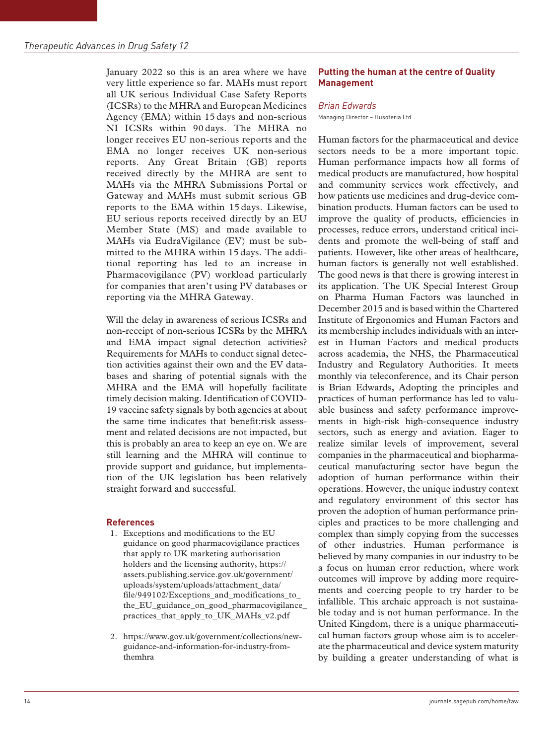January 2022 so this is an area where we have very little experience so far. MAHs must report all UK serious Individual Case Safety Reports (ICSRs) to the MHRA and European Medicines Agency (EMA) within 15 days and non-serious NI ICSRs within 90 days. The MHRA no longer receives EU non-serious reports and the EMA no longer receives UK non-serious reports. Any Great Britain (GB) reports received directly by the MHRA are sent to MAHs via the MHRA Submissions Portal or Gateway and MAHs must submit serious GB reports to the EMA within 15 days. Likewise, EU serious reports received directly by an EU Member State (MS) and made available to MAHs via EudraVigilance (EV) must be submitted to the MHRA within 15 days. The additional reporting has led to an increase in Pharmacovigilance (PV) workload particularly for companies that aren't using PV databases or reporting via the MHRA Gateway.

Will the delay in awareness of serious ICSRs and non-receipt of non-serious ICSRs by the MHRA and EMA impact signal detection activities? Requirements for MAHs to conduct signal detection activities against their own and the EV databases and sharing of potential signals with the MHRA and the EMA will hopefully facilitate timely decision making. Identification of COVID-19 vaccine safety signals by both agencies at about the same time indicates that benefit:risk assessment and related decisions are not impacted, but this is probably an area to keep an eye on. We are still learning and the MHRA will continue to provide support and guidance, but implementation of the UK legislation has been relatively straight forward and successful.

# **References**

- 1. Exceptions and modifications to the EU guidance on good pharmacovigilance practices that apply to UK marketing authorisation holders and the licensing authority, https:// assets.publishing.service.gov.uk/government/ uploads/system/uploads/attachment\_data/ file/949102/Exceptions\_and\_modifications\_to\_ the\_EU\_guidance\_on\_good\_pharmacovigilance\_ practices\_that\_apply\_to\_UK\_MAHs\_v2.pdf
- 2. https://www.gov.uk/government/collections/newguidance-and-information-for-industry-fromthemhra

# **Putting the human at the centre of Quality Management**

# *Brian Edwards*

Managing Director – Husoteria Ltd

Human factors for the pharmaceutical and device sectors needs to be a more important topic. Human performance impacts how all forms of medical products are manufactured, how hospital and community services work effectively, and how patients use medicines and drug-device combination products. Human factors can be used to improve the quality of products, efficiencies in processes, reduce errors, understand critical incidents and promote the well-being of staff and patients. However, like other areas of healthcare, human factors is generally not well established. The good news is that there is growing interest in its application. The UK Special Interest Group on Pharma Human Factors was launched in December 2015 and is based within the Chartered Institute of Ergonomics and Human Factors and its membership includes individuals with an interest in Human Factors and medical products across academia, the NHS, the Pharmaceutical Industry and Regulatory Authorities. It meets monthly via teleconference, and its Chair person is Brian Edwards, Adopting the principles and practices of human performance has led to valuable business and safety performance improvements in high-risk high-consequence industry sectors, such as energy and aviation. Eager to realize similar levels of improvement, several companies in the pharmaceutical and biopharmaceutical manufacturing sector have begun the adoption of human performance within their operations. However, the unique industry context and regulatory environment of this sector has proven the adoption of human performance principles and practices to be more challenging and complex than simply copying from the successes of other industries. Human performance is believed by many companies in our industry to be a focus on human error reduction, where work outcomes will improve by adding more requirements and coercing people to try harder to be infallible. This archaic approach is not sustainable today and is not human performance. In the United Kingdom, there is a unique pharmaceutical human factors group whose aim is to accelerate the pharmaceutical and device system maturity by building a greater understanding of what is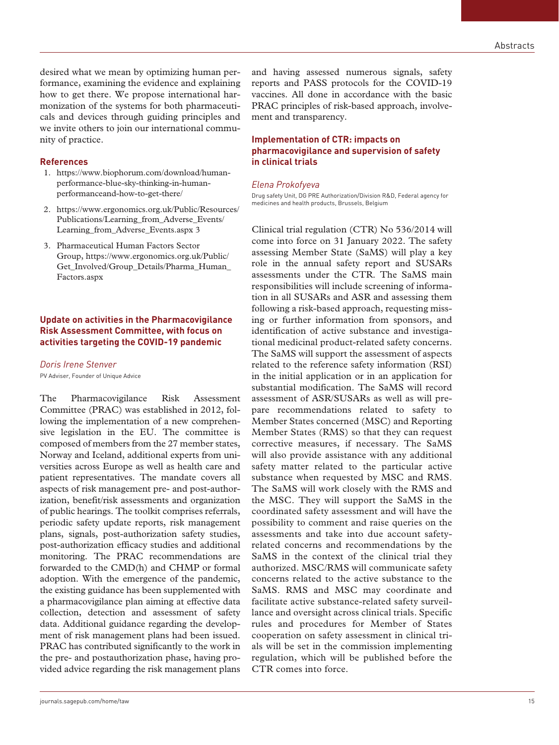desired what we mean by optimizing human performance, examining the evidence and explaining how to get there. We propose international harmonization of the systems for both pharmaceuticals and devices through guiding principles and we invite others to join our international community of practice.

#### **References**

- 1. https://www.biophorum.com/download/humanperformance-blue-sky-thinking-in-humanperformanceand-how-to-get-there/
- 2. https://www.ergonomics.org.uk/Public/Resources/ Publications/Learning\_from\_Adverse\_Events/ Learning from Adverse Events.aspx 3
- 3. Pharmaceutical Human Factors Sector Group, https://www.ergonomics.org.uk/Public/ Get\_Involved/Group\_Details/Pharma\_Human\_ Factors.aspx

## **Update on activities in the Pharmacovigilance Risk Assessment Committee, with focus on activities targeting the COVID-19 pandemic**

# *Doris Irene Stenver*

PV Adviser, Founder of Unique Advice

The Pharmacovigilance Risk Assessment Committee (PRAC) was established in 2012, following the implementation of a new comprehensive legislation in the EU. The committee is composed of members from the 27 member states, Norway and Iceland, additional experts from universities across Europe as well as health care and patient representatives. The mandate covers all aspects of risk management pre- and post-authorization, benefit/risk assessments and organization of public hearings. The toolkit comprises referrals, periodic safety update reports, risk management plans, signals, post-authorization safety studies, post-authorization efficacy studies and additional monitoring. The PRAC recommendations are forwarded to the CMD(h) and CHMP or formal adoption. With the emergence of the pandemic, the existing guidance has been supplemented with a pharmacovigilance plan aiming at effective data collection, detection and assessment of safety data. Additional guidance regarding the development of risk management plans had been issued. PRAC has contributed significantly to the work in the pre- and postauthorization phase, having provided advice regarding the risk management plans and having assessed numerous signals, safety reports and PASS protocols for the COVID-19 vaccines. All done in accordance with the basic PRAC principles of risk-based approach, involvement and transparency.

# **Implementation of CTR: impacts on pharmacovigilance and supervision of safety in clinical trials**

#### *Elena Prokofyeva*

Drug safety Unit, DG PRE Authorization/Division R&D, Federal agency for medicines and health products, Brussels, Belgium

Clinical trial regulation (CTR) No 536/2014 will come into force on 31 January 2022. The safety assessing Member State (SaMS) will play a key role in the annual safety report and SUSARs assessments under the CTR. The SaMS main responsibilities will include screening of information in all SUSARs and ASR and assessing them following a risk-based approach, requesting missing or further information from sponsors, and identification of active substance and investigational medicinal product-related safety concerns. The SaMS will support the assessment of aspects related to the reference safety information (RSI) in the initial application or in an application for substantial modification. The SaMS will record assessment of ASR/SUSARs as well as will prepare recommendations related to safety to Member States concerned (MSC) and Reporting Member States (RMS) so that they can request corrective measures, if necessary. The SaMS will also provide assistance with any additional safety matter related to the particular active substance when requested by MSC and RMS. The SaMS will work closely with the RMS and the MSC. They will support the SaMS in the coordinated safety assessment and will have the possibility to comment and raise queries on the assessments and take into due account safetyrelated concerns and recommendations by the SaMS in the context of the clinical trial they authorized. MSC/RMS will communicate safety concerns related to the active substance to the SaMS. RMS and MSC may coordinate and facilitate active substance-related safety surveillance and oversight across clinical trials. Specific rules and procedures for Member of States cooperation on safety assessment in clinical trials will be set in the commission implementing regulation, which will be published before the CTR comes into force.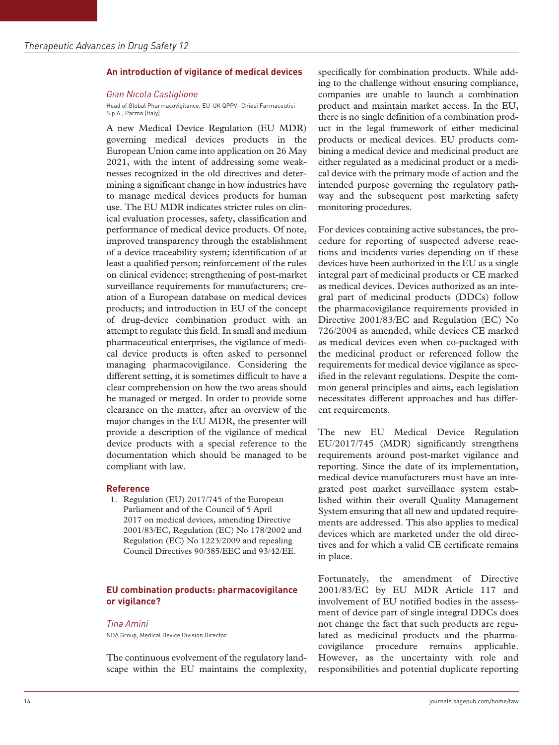#### **An introduction of vigilance of medical devices**

#### *Gian Nicola Castiglione*

Head of Global Pharmacovigilance, EU-UK QPPV- Chiesi Farmaceutici S.p.A., Parma (Italy)

A new Medical Device Regulation (EU MDR) governing medical devices products in the European Union came into application on 26 May 2021, with the intent of addressing some weaknesses recognized in the old directives and determining a significant change in how industries have to manage medical devices products for human use. The EU MDR indicates stricter rules on clinical evaluation processes, safety, classification and performance of medical device products. Of note, improved transparency through the establishment of a device traceability system; identification of at least a qualified person; reinforcement of the rules on clinical evidence; strengthening of post-market surveillance requirements for manufacturers; creation of a European database on medical devices products; and introduction in EU of the concept of drug-device combination product with an attempt to regulate this field. In small and medium pharmaceutical enterprises, the vigilance of medical device products is often asked to personnel managing pharmacovigilance. Considering the different setting, it is sometimes difficult to have a clear comprehension on how the two areas should be managed or merged. In order to provide some clearance on the matter, after an overview of the major changes in the EU MDR, the presenter will provide a description of the vigilance of medical device products with a special reference to the documentation which should be managed to be compliant with law.

#### **Reference**

1. Regulation (EU) 2017/745 of the European Parliament and of the Council of 5 April 2017 on medical devices, amending Directive 2001/83/EC, Regulation (EC) No 178/2002 and Regulation (EC) No 1223/2009 and repealing Council Directives 90/385/EEC and 93/42/EE.

## **EU combination products: pharmacovigilance or vigilance?**

#### *Tina Amini*

NDA Group, Medical Device Division Director

The continuous evolvement of the regulatory landscape within the EU maintains the complexity, specifically for combination products. While adding to the challenge without ensuring compliance, companies are unable to launch a combination product and maintain market access. In the EU, there is no single definition of a combination product in the legal framework of either medicinal products or medical devices. EU products combining a medical device and medicinal product are either regulated as a medicinal product or a medical device with the primary mode of action and the intended purpose governing the regulatory pathway and the subsequent post marketing safety monitoring procedures.

For devices containing active substances, the procedure for reporting of suspected adverse reactions and incidents varies depending on if these devices have been authorized in the EU as a single integral part of medicinal products or CE marked as medical devices. Devices authorized as an integral part of medicinal products (DDCs) follow the pharmacovigilance requirements provided in Directive 2001/83/EC and Regulation (EC) No 726/2004 as amended, while devices CE marked as medical devices even when co-packaged with the medicinal product or referenced follow the requirements for medical device vigilance as specified in the relevant regulations. Despite the common general principles and aims, each legislation necessitates different approaches and has different requirements.

The new EU Medical Device Regulation EU/2017/745 (MDR) significantly strengthens requirements around post-market vigilance and reporting. Since the date of its implementation, medical device manufacturers must have an integrated post market surveillance system established within their overall Quality Management System ensuring that all new and updated requirements are addressed. This also applies to medical devices which are marketed under the old directives and for which a valid CE certificate remains in place.

Fortunately, the amendment of Directive 2001/83/EC by EU MDR Article 117 and involvement of EU notified bodies in the assessment of device part of single integral DDCs does not change the fact that such products are regulated as medicinal products and the pharmacovigilance procedure remains applicable. However, as the uncertainty with role and responsibilities and potential duplicate reporting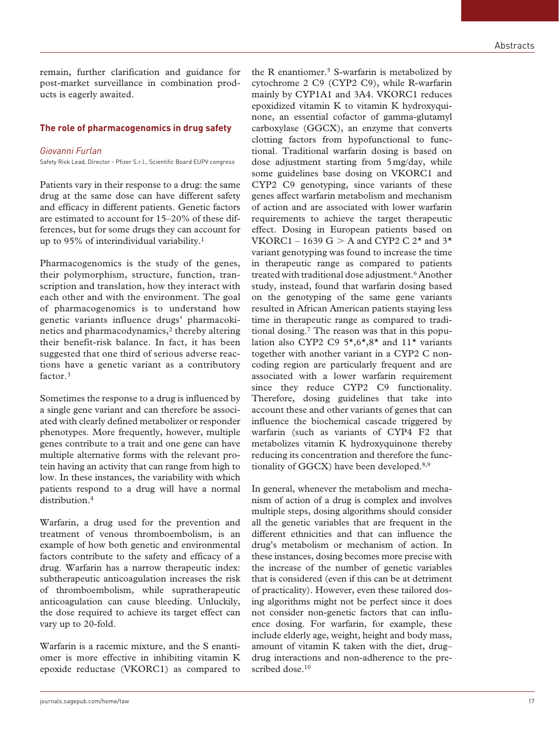remain, further clarification and guidance for post-market surveillance in combination products is eagerly awaited.

## **The role of pharmacogenomics in drug safety**

## *Giovanni Furlan*

Safety Risk Lead, Director - Pfizer S.r.l., Scientific Board EUPV congress

Patients vary in their response to a drug: the same drug at the same dose can have different safety and efficacy in different patients. Genetic factors are estimated to account for 15–20% of these differences, but for some drugs they can account for up to 95% of interindividual variability.<sup>1</sup>

Pharmacogenomics is the study of the genes, their polymorphism, structure, function, transcription and translation, how they interact with each other and with the environment. The goal of pharmacogenomics is to understand how genetic variants influence drugs' pharmacokinetics and pharmacodynamics,<sup>2</sup> thereby altering their benefit-risk balance. In fact, it has been suggested that one third of serious adverse reactions have a genetic variant as a contributory factor.3

Sometimes the response to a drug is influenced by a single gene variant and can therefore be associated with clearly defined metabolizer or responder phenotypes. More frequently, however, multiple genes contribute to a trait and one gene can have multiple alternative forms with the relevant protein having an activity that can range from high to low. In these instances, the variability with which patients respond to a drug will have a normal distribution<sup>4</sup>

Warfarin, a drug used for the prevention and treatment of venous thromboembolism, is an example of how both genetic and environmental factors contribute to the safety and efficacy of a drug. Warfarin has a narrow therapeutic index: subtherapeutic anticoagulation increases the risk of thromboembolism, while supratherapeutic anticoagulation can cause bleeding. Unluckily, the dose required to achieve its target effect can vary up to 20-fold.

Warfarin is a racemic mixture, and the S enantiomer is more effective in inhibiting vitamin K epoxide reductase (VKORC1) as compared to

the R enantiomer.<sup>5</sup> S-warfarin is metabolized by cytochrome 2 C9 (CYP2 C9), while R-warfarin mainly by CYP1A1 and 3A4. VKORC1 reduces epoxidized vitamin K to vitamin K hydroxyquinone, an essential cofactor of gamma-glutamyl carboxylase (GGCX), an enzyme that converts clotting factors from hypofunctional to functional. Traditional warfarin dosing is based on dose adjustment starting from 5mg/day, while some guidelines base dosing on VKORC1 and CYP2 C9 genotyping, since variants of these genes affect warfarin metabolism and mechanism of action and are associated with lower warfarin requirements to achieve the target therapeutic effect. Dosing in European patients based on VKORC1 – 1639 G  $> A$  and CYP2 C 2<sup>\*</sup> and 3<sup>\*</sup> variant genotyping was found to increase the time in therapeutic range as compared to patients treated with traditional dose adjustment.<sup>6</sup> Another study, instead, found that warfarin dosing based on the genotyping of the same gene variants resulted in African American patients staying less time in therapeutic range as compared to traditional dosing.7 The reason was that in this population also CYP2 C9  $5\star$ ,  $6\star$ ,  $8\star$  and  $11\star$  variants together with another variant in a CYP2 C noncoding region are particularly frequent and are associated with a lower warfarin requirement since they reduce CYP2 C9 functionality. Therefore, dosing guidelines that take into account these and other variants of genes that can influence the biochemical cascade triggered by warfarin (such as variants of CYP4 F2 that metabolizes vitamin K hydroxyquinone thereby reducing its concentration and therefore the func-

In general, whenever the metabolism and mechanism of action of a drug is complex and involves multiple steps, dosing algorithms should consider all the genetic variables that are frequent in the different ethnicities and that can influence the drug's metabolism or mechanism of action. In these instances, dosing becomes more precise with the increase of the number of genetic variables that is considered (even if this can be at detriment of practicality). However, even these tailored dosing algorithms might not be perfect since it does not consider non-genetic factors that can influence dosing. For warfarin, for example, these include elderly age, weight, height and body mass, amount of vitamin K taken with the diet, drug– drug interactions and non-adherence to the prescribed dose.<sup>10</sup>

tionality of GGCX) have been developed.8,9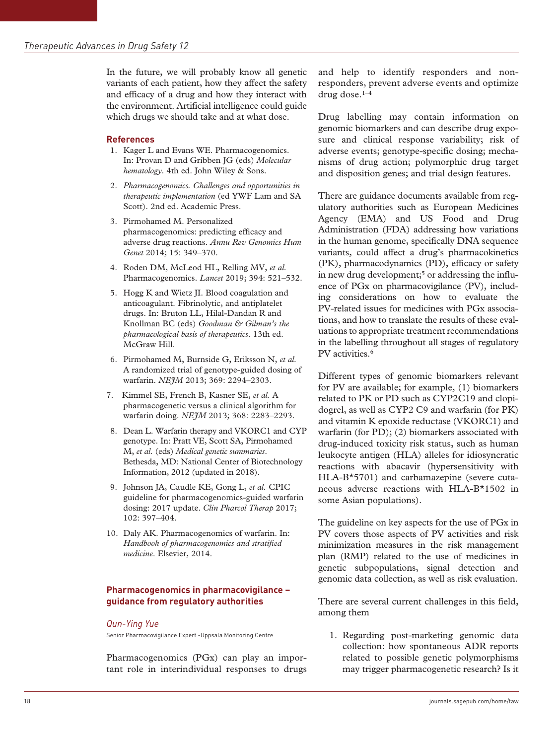In the future, we will probably know all genetic variants of each patient, how they affect the safety and efficacy of a drug and how they interact with the environment. Artificial intelligence could guide which drugs we should take and at what dose.

#### **References**

- 1. Kager L and Evans WE. Pharmacogenomics. In: Provan D and Gribben JG (eds) *Molecular hematology*. 4th ed. John Wiley & Sons.
- 2. *Pharmacogenomics. Challenges and opportunities in therapeutic implementation* (ed YWF Lam and SA Scott). 2nd ed. Academic Press.
- 3. Pirmohamed M. Personalized pharmacogenomics: predicting efficacy and adverse drug reactions. *Annu Rev Genomics Hum Genet* 2014; 15: 349–370.
- 4. Roden DM, McLeod HL, Relling MV, *et al.* Pharmacogenomics. *Lancet* 2019; 394: 521–532.
- 5. Hogg K and Wietz JI. Blood coagulation and anticoagulant. Fibrinolytic, and antiplatelet drugs. In: Bruton LL, Hilal-Dandan R and Knollman BC (eds) *Goodman & Gilman's the pharmacological basis of therapeutics*. 13th ed. McGraw Hill.
- 6. Pirmohamed M, Burnside G, Eriksson N, *et al.* A randomized trial of genotype-guided dosing of warfarin. *NEJM* 2013; 369: 2294–2303.
- 7. Kimmel SE, French B, Kasner SE, *et al.* A pharmacogenetic versus a clinical algorithm for warfarin doing. *NEJM* 2013; 368: 2283–2293.
- 8. Dean L. Warfarin therapy and VKORC1 and CYP genotype. In: Pratt VE, Scott SA, Pirmohamed M, *et al.* (eds) *Medical genetic summaries*. Bethesda, MD: National Center of Biotechnology Information, 2012 (updated in 2018).
- 9. Johnson JA, Caudle KE, Gong L, *et al.* CPIC guideline for pharmacogenomics-guided warfarin dosing: 2017 update. *Clin Pharcol Therap* 2017; 102: 397–404.
- 10. Daly AK. Pharmacogenomics of warfarin. In: *Handbook of pharmacogenomics and stratified medicine*. Elsevier, 2014.

## **Pharmacogenomics in pharmacovigilance – guidance from regulatory authorities**

#### *Qun-Ying Yue*

Senior Pharmacovigilance Expert -Uppsala Monitoring Centre

Pharmacogenomics (PGx) can play an important role in interindividual responses to drugs and help to identify responders and nonresponders, prevent adverse events and optimize drug dose.1–4

Drug labelling may contain information on genomic biomarkers and can describe drug exposure and clinical response variability; risk of adverse events; genotype-specific dosing; mechanisms of drug action; polymorphic drug target and disposition genes; and trial design features.

There are guidance documents available from regulatory authorities such as European Medicines Agency (EMA) and US Food and Drug Administration (FDA) addressing how variations in the human genome, specifically DNA sequence variants, could affect a drug's pharmacokinetics (PK), pharmacodynamics (PD), efficacy or safety in new drug development;<sup>5</sup> or addressing the influence of PGx on pharmacovigilance (PV), including considerations on how to evaluate the PV-related issues for medicines with PGx associations, and how to translate the results of these evaluations to appropriate treatment recommendations in the labelling throughout all stages of regulatory PV activities.<sup>6</sup>

Different types of genomic biomarkers relevant for PV are available; for example, (1) biomarkers related to PK or PD such as CYP2C19 and clopidogrel, as well as CYP2 C9 and warfarin (for PK) and vitamin K epoxide reductase (VKORC1) and warfarin (for PD); (2) biomarkers associated with drug-induced toxicity risk status, such as human leukocyte antigen (HLA) alleles for idiosyncratic reactions with abacavir (hypersensitivity with HLA-B\*5701) and carbamazepine (severe cutaneous adverse reactions with HLA-B\*1502 in some Asian populations).

The guideline on key aspects for the use of PGx in PV covers those aspects of PV activities and risk minimization measures in the risk management plan (RMP) related to the use of medicines in genetic subpopulations, signal detection and genomic data collection, as well as risk evaluation.

There are several current challenges in this field, among them

1. Regarding post-marketing genomic data collection: how spontaneous ADR reports related to possible genetic polymorphisms may trigger pharmacogenetic research? Is it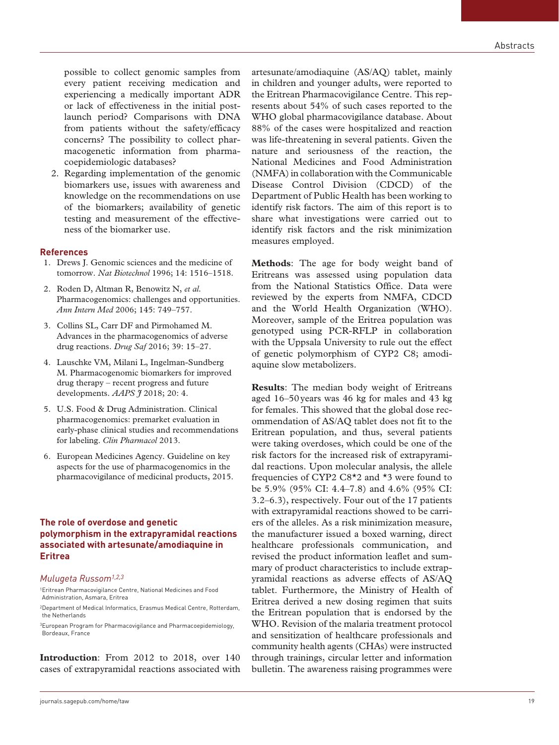possible to collect genomic samples from every patient receiving medication and experiencing a medically important ADR or lack of effectiveness in the initial postlaunch period? Comparisons with DNA from patients without the safety/efficacy concerns? The possibility to collect pharmacogenetic information from pharmacoepidemiologic databases?

2. Regarding implementation of the genomic biomarkers use, issues with awareness and knowledge on the recommendations on use of the biomarkers; availability of genetic testing and measurement of the effectiveness of the biomarker use.

#### **References**

- 1. Drews J. Genomic sciences and the medicine of tomorrow. *Nat Biotechnol* 1996; 14: 1516–1518.
- 2. Roden D, Altman R, Benowitz N, *et al.* Pharmacogenomics: challenges and opportunities. *Ann Intern Med* 2006; 145: 749–757.
- 3. Collins SL, Carr DF and Pirmohamed M. Advances in the pharmacogenomics of adverse drug reactions. *Drug Saf* 2016; 39: 15–27.
- 4. Lauschke VM, Milani L, Ingelman-Sundberg M. Pharmacogenomic biomarkers for improved drug therapy – recent progress and future developments. *AAPS J* 2018; 20: 4.
- 5. U.S. Food & Drug Administration. Clinical pharmacogenomics: premarket evaluation in early-phase clinical studies and recommendations for labeling. *Clin Pharmacol* 2013.
- 6. European Medicines Agency. Guideline on key aspects for the use of pharmacogenomics in the pharmacovigilance of medicinal products, 2015.

## **The role of overdose and genetic polymorphism in the extrapyramidal reactions associated with artesunate/amodiaquine in Eritrea**

#### *Mulugeta Russom1,2,3*

1Eritrean Pharmacovigilance Centre, National Medicines and Food Administration, Asmara, Eritrea

2Department of Medical Informatics, Erasmus Medical Centre, Rotterdam, the Netherlands

3European Program for Pharmacovigilance and Pharmacoepidemiology, Bordeaux, France

**Introduction**: From 2012 to 2018, over 140 cases of extrapyramidal reactions associated with artesunate/amodiaquine (AS/AQ) tablet, mainly in children and younger adults, were reported to the Eritrean Pharmacovigilance Centre. This represents about 54% of such cases reported to the WHO global pharmacovigilance database. About 88% of the cases were hospitalized and reaction was life-threatening in several patients. Given the nature and seriousness of the reaction, the National Medicines and Food Administration (NMFA) in collaboration with the Communicable Disease Control Division (CDCD) of the Department of Public Health has been working to identify risk factors. The aim of this report is to share what investigations were carried out to identify risk factors and the risk minimization measures employed.

**Methods**: The age for body weight band of Eritreans was assessed using population data from the National Statistics Office. Data were reviewed by the experts from NMFA, CDCD and the World Health Organization (WHO). Moreover, sample of the Eritrea population was genotyped using PCR-RFLP in collaboration with the Uppsala University to rule out the effect of genetic polymorphism of CYP2 C8; amodiaquine slow metabolizers.

**Results**: The median body weight of Eritreans aged 16–50years was 46 kg for males and 43 kg for females. This showed that the global dose recommendation of AS/AQ tablet does not fit to the Eritrean population, and thus, several patients were taking overdoses, which could be one of the risk factors for the increased risk of extrapyramidal reactions. Upon molecular analysis, the allele frequencies of CYP2 C8\*2 and \*3 were found to be 5.9% (95% CI: 4.4–7.8) and 4.6% (95% CI: 3.2–6.3), respectively. Four out of the 17 patients with extrapyramidal reactions showed to be carriers of the alleles. As a risk minimization measure, the manufacturer issued a boxed warning, direct healthcare professionals communication, and revised the product information leaflet and summary of product characteristics to include extrapyramidal reactions as adverse effects of AS/AQ tablet. Furthermore, the Ministry of Health of Eritrea derived a new dosing regimen that suits the Eritrean population that is endorsed by the WHO. Revision of the malaria treatment protocol and sensitization of healthcare professionals and community health agents (CHAs) were instructed through trainings, circular letter and information bulletin. The awareness raising programmes were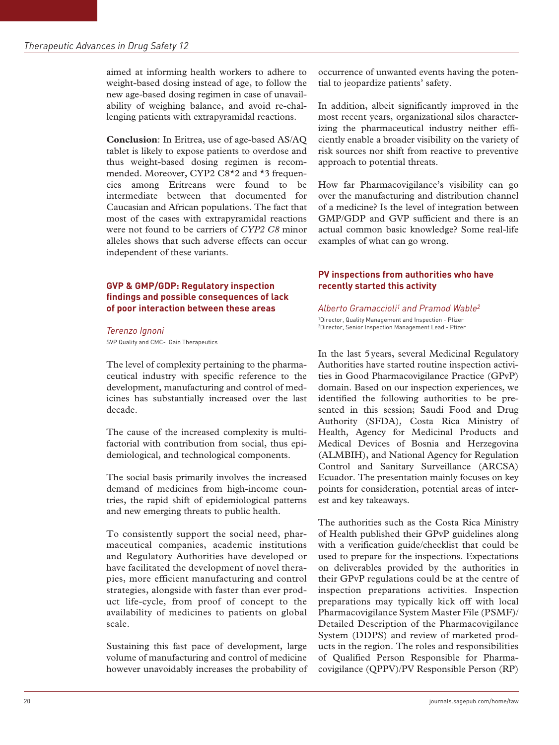aimed at informing health workers to adhere to weight-based dosing instead of age, to follow the new age-based dosing regimen in case of unavailability of weighing balance, and avoid re-challenging patients with extrapyramidal reactions.

**Conclusion**: In Eritrea, use of age-based AS/AQ tablet is likely to expose patients to overdose and thus weight-based dosing regimen is recommended. Moreover, CYP2 C8\*2 and \*3 frequencies among Eritreans were found to be intermediate between that documented for Caucasian and African populations. The fact that most of the cases with extrapyramidal reactions were not found to be carriers of *CYP2 C8* minor alleles shows that such adverse effects can occur independent of these variants.

# **GVP & GMP/GDP: Regulatory inspection findings and possible consequences of lack of poor interaction between these areas**

*Terenzo Ignoni* SVP Quality and CMC- Gain Therapeutics

The level of complexity pertaining to the pharmaceutical industry with specific reference to the development, manufacturing and control of medicines has substantially increased over the last decade.

The cause of the increased complexity is multifactorial with contribution from social, thus epidemiological, and technological components.

The social basis primarily involves the increased demand of medicines from high-income countries, the rapid shift of epidemiological patterns and new emerging threats to public health.

To consistently support the social need, pharmaceutical companies, academic institutions and Regulatory Authorities have developed or have facilitated the development of novel therapies, more efficient manufacturing and control strategies, alongside with faster than ever product life-cycle, from proof of concept to the availability of medicines to patients on global scale.

Sustaining this fast pace of development, large volume of manufacturing and control of medicine however unavoidably increases the probability of occurrence of unwanted events having the potential to jeopardize patients' safety.

In addition, albeit significantly improved in the most recent years, organizational silos characterizing the pharmaceutical industry neither efficiently enable a broader visibility on the variety of risk sources nor shift from reactive to preventive approach to potential threats.

How far Pharmacovigilance's visibility can go over the manufacturing and distribution channel of a medicine? Is the level of integration between GMP/GDP and GVP sufficient and there is an actual common basic knowledge? Some real-life examples of what can go wrong.

# **PV inspections from authorities who have recently started this activity**

*Alberto Gramaccioli1 and Pramod Wable2* 1Director, Quality Management and Inspection - Pfizer 2Director, Senior Inspection Management Lead - Pfizer

In the last 5years, several Medicinal Regulatory Authorities have started routine inspection activities in Good Pharmacovigilance Practice (GPvP) domain. Based on our inspection experiences, we identified the following authorities to be presented in this session; Saudi Food and Drug Authority (SFDA), Costa Rica Ministry of Health, Agency for Medicinal Products and Medical Devices of Bosnia and Herzegovina (ALMBIH), and National Agency for Regulation Control and Sanitary Surveillance (ARCSA) Ecuador. The presentation mainly focuses on key points for consideration, potential areas of interest and key takeaways.

The authorities such as the Costa Rica Ministry of Health published their GPvP guidelines along with a verification guide/checklist that could be used to prepare for the inspections. Expectations on deliverables provided by the authorities in their GPvP regulations could be at the centre of inspection preparations activities. Inspection preparations may typically kick off with local Pharmacovigilance System Master File (PSMF)/ Detailed Description of the Pharmacovigilance System (DDPS) and review of marketed products in the region. The roles and responsibilities of Qualified Person Responsible for Pharmacovigilance (QPPV)/PV Responsible Person (RP)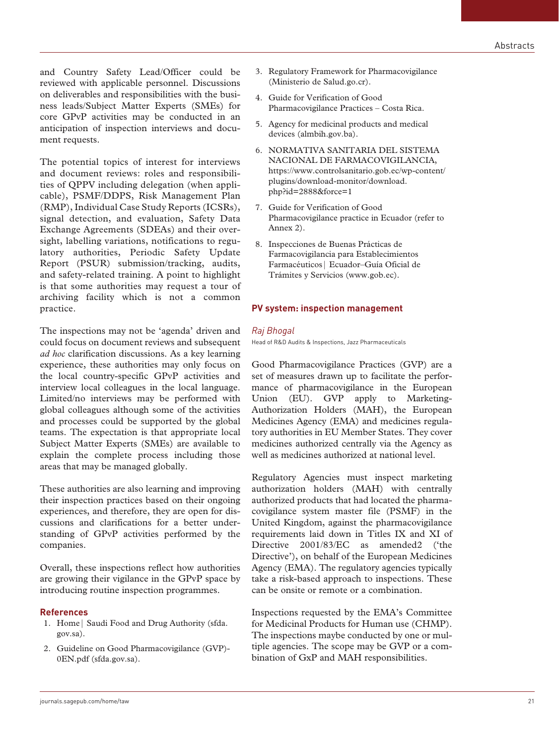and Country Safety Lead/Officer could be reviewed with applicable personnel. Discussions on deliverables and responsibilities with the business leads/Subject Matter Experts (SMEs) for core GPvP activities may be conducted in an anticipation of inspection interviews and document requests.

The potential topics of interest for interviews and document reviews: roles and responsibilities of QPPV including delegation (when applicable), PSMF/DDPS, Risk Management Plan (RMP), Individual Case Study Reports (ICSRs), signal detection, and evaluation, Safety Data Exchange Agreements (SDEAs) and their oversight, labelling variations, notifications to regulatory authorities, Periodic Safety Update Report (PSUR) submission/tracking, audits, and safety-related training. A point to highlight is that some authorities may request a tour of archiving facility which is not a common practice.

The inspections may not be 'agenda' driven and could focus on document reviews and subsequent *ad hoc* clarification discussions. As a key learning experience, these authorities may only focus on the local country-specific GPvP activities and interview local colleagues in the local language. Limited/no interviews may be performed with global colleagues although some of the activities and processes could be supported by the global teams. The expectation is that appropriate local Subject Matter Experts (SMEs) are available to explain the complete process including those areas that may be managed globally.

These authorities are also learning and improving their inspection practices based on their ongoing experiences, and therefore, they are open for discussions and clarifications for a better understanding of GPvP activities performed by the companies.

Overall, these inspections reflect how authorities are growing their vigilance in the GPvP space by introducing routine inspection programmes.

#### **References**

- 1. Home| Saudi Food and Drug Authority (sfda. gov.sa).
- 2. Guideline on Good Pharmacovigilance (GVP)- 0EN.pdf (sfda.gov.sa).
- 3. Regulatory Framework for Pharmacovigilance (Ministerio de Salud.go.cr).
- 4. Guide for Verification of Good Pharmacovigilance Practices – Costa Rica.
- 5. Agency for medicinal products and medical devices (almbih.gov.ba).
- 6. NORMATIVA SANITARIA DEL SISTEMA NACIONAL DE FARMACOVIGILANCIA, https://www.controlsanitario.gob.ec/wp-content/ plugins/download-monitor/download. php?id=2888&force=1
- 7. Guide for Verification of Good Pharmacovigilance practice in Ecuador (refer to Annex 2).
- 8. Inspecciones de Buenas Prácticas de Farmacovigilancia para Establecimientos Farmacéuticos| Ecuador–Guía Oficial de Trámites y Servicios (www.gob.ec).

#### **PV system: inspection management**

#### *Raj Bhogal*

Head of R&D Audits & Inspections, Jazz Pharmaceuticals

Good Pharmacovigilance Practices (GVP) are a set of measures drawn up to facilitate the performance of pharmacovigilance in the European Union (EU). GVP apply to Marketing-Authorization Holders (MAH), the European Medicines Agency (EMA) and medicines regulatory authorities in EU Member States. They cover medicines authorized centrally via the Agency as well as medicines authorized at national level.

Regulatory Agencies must inspect marketing authorization holders (MAH) with centrally authorized products that had located the pharmacovigilance system master file (PSMF) in the United Kingdom, against the pharmacovigilance requirements laid down in Titles IX and XI of Directive 2001/83/EC as amended2 ('the Directive'), on behalf of the European Medicines Agency (EMA). The regulatory agencies typically take a risk-based approach to inspections. These can be onsite or remote or a combination.

Inspections requested by the EMA's Committee for Medicinal Products for Human use (CHMP). The inspections maybe conducted by one or multiple agencies. The scope may be GVP or a combination of GxP and MAH responsibilities.